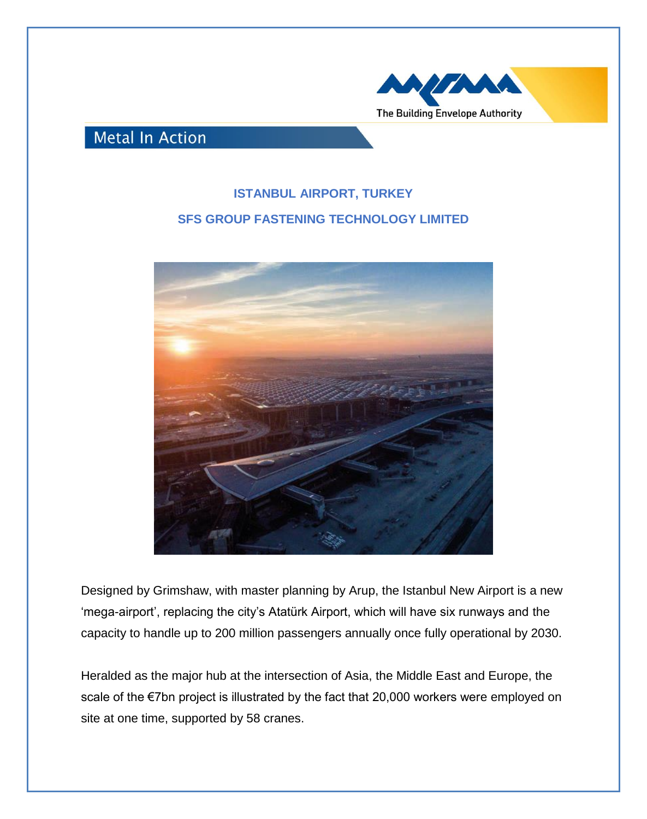

## **Metal In Action**

## **ISTANBUL AIRPORT, TURKEY SFS GROUP FASTENING TECHNOLOGY LIMITED**



Designed by Grimshaw, with master planning by Arup, the Istanbul New Airport is a new 'mega-airport', replacing the city's Atatürk Airport, which will have six runways and the capacity to handle up to 200 million passengers annually once fully operational by 2030.

Heralded as the major hub at the intersection of Asia, the Middle East and Europe, the scale of the €7bn project is illustrated by the fact that 20,000 workers were employed on site at one time, supported by 58 cranes.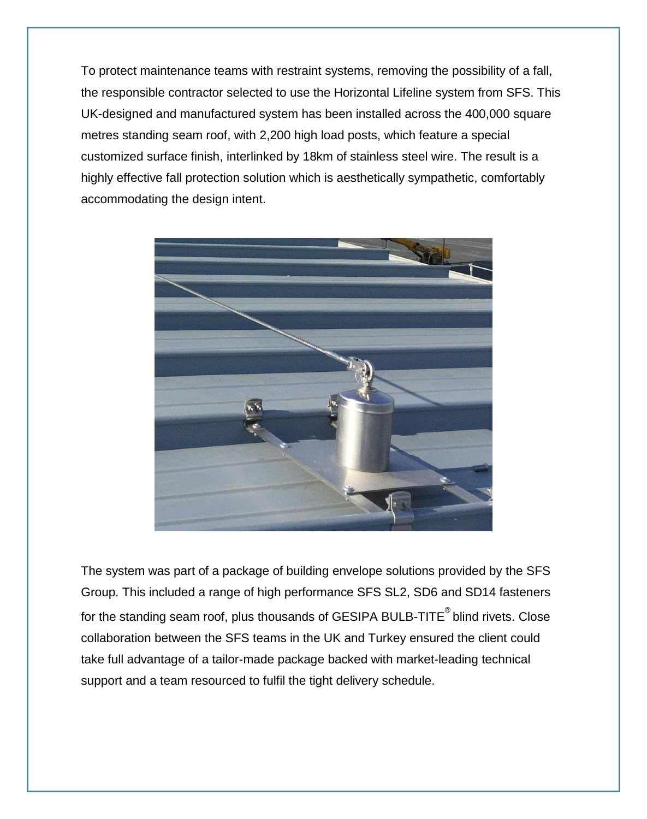To protect maintenance teams with restraint systems, removing the possibility of a fall, the responsible contractor selected to use the Horizontal Lifeline system from SFS. This UK-designed and manufactured system has been installed across the 400,000 square metres standing seam roof, with 2,200 high load posts, which feature a special customized surface finish, interlinked by 18km of stainless steel wire. The result is a highly effective fall protection solution which is aesthetically sympathetic, comfortably accommodating the design intent.



The system was part of a package of building envelope solutions provided by the SFS Group. This included a range of high performance SFS SL2, SD6 and SD14 fasteners for the standing seam roof, plus thousands of GESIPA BULB-TITE<sup>®</sup> blind rivets. Close collaboration between the SFS teams in the UK and Turkey ensured the client could take full advantage of a tailor-made package backed with market-leading technical support and a team resourced to fulfil the tight delivery schedule.